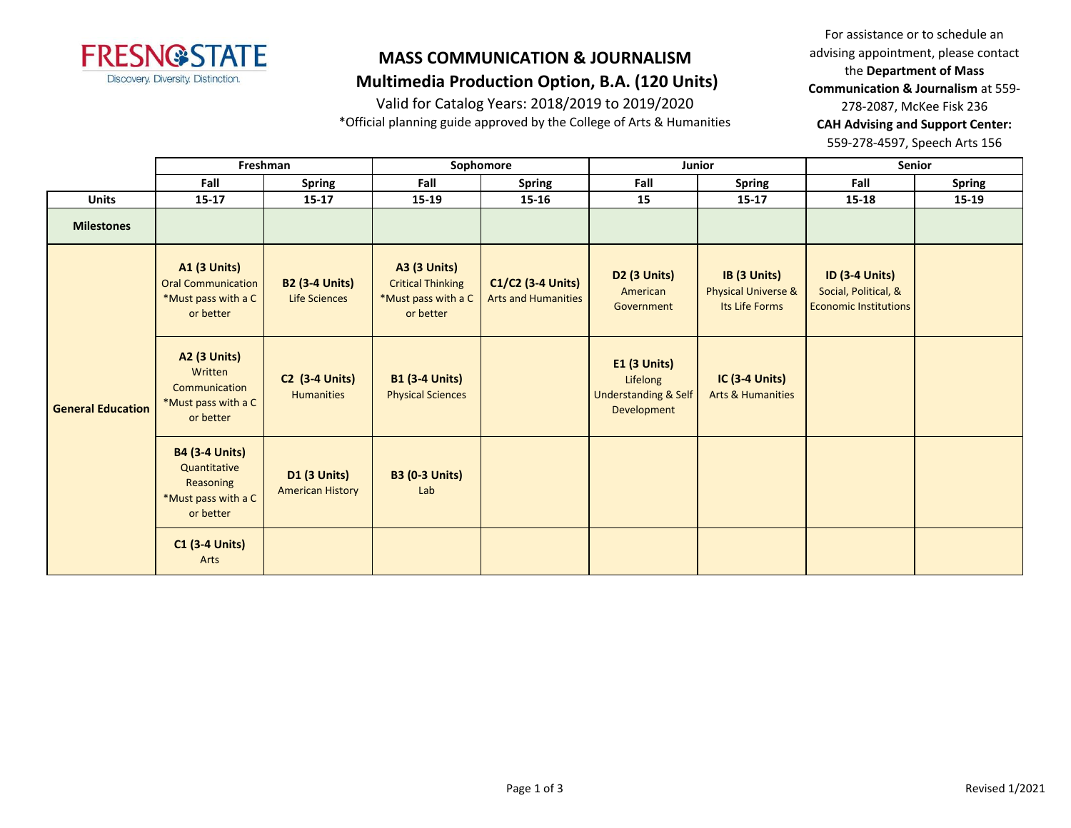

# **MASS COMMUNICATION & JOURNALISM**

 **Multimedia Production Option, B.A. (120 Units)**

Valid for Catalog Years: 2018/2019 to 2019/2020

\*Official planning guide approved by the College of Arts & Humanities

For assistance or to schedule an advising appointment, please contact the **Department of Mass Communication & Journalism** at 559- 278-2087, McKee Fisk 236 **CAH Advising and Support Center:**  559-278-4597, Speech Arts 156

|                          | Freshman                                                                               |                                                | Sophomore                                                                           |                                                 | Junior                                                                     |                                                                  | <b>Senior</b>                                                                 |               |
|--------------------------|----------------------------------------------------------------------------------------|------------------------------------------------|-------------------------------------------------------------------------------------|-------------------------------------------------|----------------------------------------------------------------------------|------------------------------------------------------------------|-------------------------------------------------------------------------------|---------------|
|                          | Fall                                                                                   | <b>Spring</b>                                  | Fall                                                                                | <b>Spring</b>                                   | Fall                                                                       | <b>Spring</b>                                                    | Fall                                                                          | <b>Spring</b> |
| <b>Units</b>             | $15 - 17$                                                                              | $15 - 17$                                      | 15-19                                                                               | $15 - 16$                                       | 15                                                                         | $15 - 17$                                                        | 15-18                                                                         | 15-19         |
| <b>Milestones</b>        |                                                                                        |                                                |                                                                                     |                                                 |                                                                            |                                                                  |                                                                               |               |
| <b>General Education</b> | <b>A1 (3 Units)</b><br><b>Oral Communication</b><br>*Must pass with a C<br>or better   | <b>B2 (3-4 Units)</b><br>Life Sciences         | <b>A3 (3 Units)</b><br><b>Critical Thinking</b><br>*Must pass with a C<br>or better | C1/C2 (3-4 Units)<br><b>Arts and Humanities</b> | <b>D2 (3 Units)</b><br>American<br>Government                              | IB (3 Units)<br><b>Physical Universe &amp;</b><br>Its Life Forms | <b>ID (3-4 Units)</b><br>Social, Political, &<br><b>Economic Institutions</b> |               |
|                          | <b>A2 (3 Units)</b><br>Written<br>Communication<br>*Must pass with a C<br>or better    | <b>C2 (3-4 Units)</b><br><b>Humanities</b>     | <b>B1 (3-4 Units)</b><br><b>Physical Sciences</b>                                   |                                                 | E1 (3 Units)<br>Lifelong<br><b>Understanding &amp; Self</b><br>Development | <b>IC (3-4 Units)</b><br><b>Arts &amp; Humanities</b>            |                                                                               |               |
|                          | <b>B4 (3-4 Units)</b><br>Quantitative<br>Reasoning<br>*Must pass with a C<br>or better | <b>D1 (3 Units)</b><br><b>American History</b> | <b>B3 (0-3 Units)</b><br>Lab                                                        |                                                 |                                                                            |                                                                  |                                                                               |               |
|                          | $C1$ (3-4 Units)<br>Arts                                                               |                                                |                                                                                     |                                                 |                                                                            |                                                                  |                                                                               |               |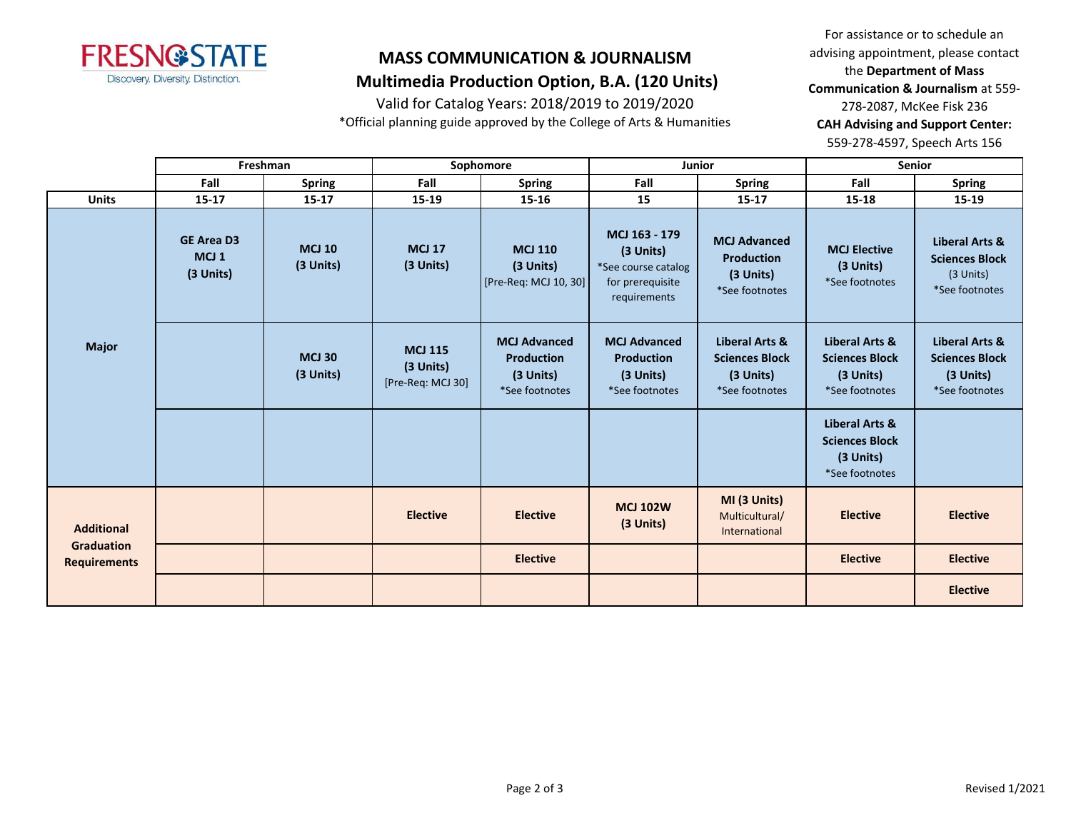

Valid for Catalog Years: 2018/2019 to 2019/2020

\*Official planning guide approved by the College of Arts & Humanities

For assistance or to schedule an advising appointment, please contact the **Department of Mass Communication & Journalism** at 559- 278-2087, McKee Fisk 236 **CAH Advising and Support Center:**  559-278-4597, Speech Arts 156

|                                          | Freshman                                           |                            |                                                  | Sophomore                                                               | <b>Junior</b>                                                                         |                                                                         | <b>Senior</b>                                                                     |                                                                                   |
|------------------------------------------|----------------------------------------------------|----------------------------|--------------------------------------------------|-------------------------------------------------------------------------|---------------------------------------------------------------------------------------|-------------------------------------------------------------------------|-----------------------------------------------------------------------------------|-----------------------------------------------------------------------------------|
|                                          | Fall                                               | <b>Spring</b>              | Fall                                             | <b>Spring</b>                                                           | Fall                                                                                  | <b>Spring</b>                                                           | Fall                                                                              | <b>Spring</b>                                                                     |
| <b>Units</b>                             | $15 - 17$                                          | $15 - 17$                  | 15-19                                            | 15-16                                                                   | 15                                                                                    | $15 - 17$                                                               | 15-18                                                                             | $15 - 19$                                                                         |
| <b>Major</b>                             | <b>GE Area D3</b><br>MCJ <sub>1</sub><br>(3 Units) | <b>MCJ 10</b><br>(3 Units) | <b>MCJ 17</b><br>(3 Units)                       | <b>MCJ 110</b><br>(3 Units)<br>[Pre-Req: MCJ 10, 30]                    | MCJ 163 - 179<br>(3 Units)<br>*See course catalog<br>for prerequisite<br>requirements | <b>MCJ Advanced</b><br><b>Production</b><br>(3 Units)<br>*See footnotes | <b>MCJ Elective</b><br>(3 Units)<br>*See footnotes                                | <b>Liberal Arts &amp;</b><br><b>Sciences Block</b><br>(3 Units)<br>*See footnotes |
|                                          |                                                    | <b>MCJ 30</b><br>(3 Units) | <b>MCJ 115</b><br>(3 Units)<br>[Pre-Req: MCJ 30] | <b>MCJ Advanced</b><br><b>Production</b><br>(3 Units)<br>*See footnotes | <b>MCJ Advanced</b><br><b>Production</b><br>(3 Units)<br>*See footnotes               | Liberal Arts &<br><b>Sciences Block</b><br>(3 Units)<br>*See footnotes  | <b>Liberal Arts &amp;</b><br><b>Sciences Block</b><br>(3 Units)<br>*See footnotes | <b>Liberal Arts &amp;</b><br><b>Sciences Block</b><br>(3 Units)<br>*See footnotes |
|                                          |                                                    |                            |                                                  |                                                                         |                                                                                       |                                                                         | <b>Liberal Arts &amp;</b><br><b>Sciences Block</b><br>(3 Units)<br>*See footnotes |                                                                                   |
| <b>Additional</b>                        |                                                    |                            | <b>Elective</b>                                  | <b>Elective</b>                                                         | <b>MCJ 102W</b><br>(3 Units)                                                          | MI (3 Units)<br>Multicultural/<br>International                         | <b>Elective</b>                                                                   | <b>Elective</b>                                                                   |
| <b>Graduation</b><br><b>Requirements</b> |                                                    |                            |                                                  | <b>Elective</b>                                                         |                                                                                       |                                                                         | <b>Elective</b>                                                                   | <b>Elective</b>                                                                   |
|                                          |                                                    |                            |                                                  |                                                                         |                                                                                       |                                                                         |                                                                                   | <b>Elective</b>                                                                   |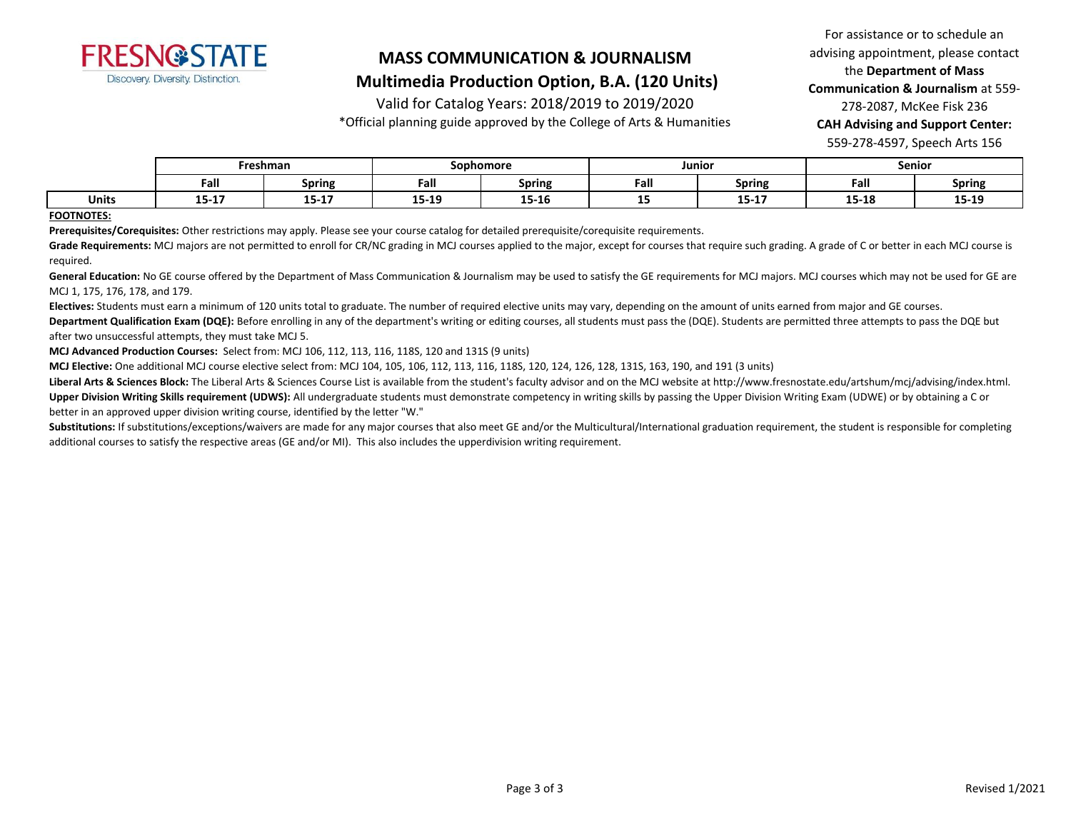

# **MASS COMMUNICATION & JOURNALISM**

# **Multimedia Production Option, B.A. (120 Units)**

Valid for Catalog Years: 2018/2019 to 2019/2020

\*Official planning guide approved by the College of Arts & Humanities

For assistance or to schedule an advising appointment, please contact the **Department of Mass Communication & Journalism** at 559- 278-2087, McKee Fisk 236 **CAH Advising and Support Center:**  559-278-4597, Speech Arts 156

|              | Freshman                |               | Sophomore      |               | Junior |                  | <b>Senior</b> |               |
|--------------|-------------------------|---------------|----------------|---------------|--------|------------------|---------------|---------------|
|              | Fall                    | <b>Spring</b> | Fall           | <b>Spring</b> | Fall   | Spring           | Fall          | <b>Spring</b> |
| <b>Units</b> | . <del>.</del><br>15-17 | $15 - 17$     | 15.10<br>13-T3 | <br>T2-T0     | --     | 4 F 4 7<br>13-L/ | 15-18         | 15-19         |

#### **FOOTNOTES:**

**Prerequisites/Corequisites:** Other restrictions may apply. Please see your course catalog for detailed prerequisite/corequisite requirements.

Grade Requirements: MCJ majors are not permitted to enroll for CR/NC grading in MCJ courses applied to the major, except for courses that require such grading. A grade of C or better in each MCJ course is required.

General Education: No GE course offered by the Department of Mass Communication & Journalism may be used to satisfy the GE requirements for MCJ majors. MCJ courses which may not be used for GE are MCJ 1, 175, 176, 178, and 179.

**Electives:** Students must earn a minimum of 120 units total to graduate. The number of required elective units may vary, depending on the amount of units earned from major and GE courses.

Department Qualification Exam (DQE): Before enrolling in any of the department's writing or editing courses, all students must pass the (DQE). Students are permitted three attempts to pass the DQE but after two unsuccessful attempts, they must take MCJ 5.

**MCJ Advanced Production Courses:** Select from: MCJ 106, 112, 113, 116, 118S, 120 and 131S (9 units)

**MCJ Elective:** One additional MCJ course elective select from: MCJ 104, 105, 106, 112, 113, 116, 118S, 120, 124, 126, 128, 131S, 163, 190, and 191 (3 units)

Liberal Arts & Sciences Block: The Liberal Arts & Sciences Course List is available from the student's faculty advisor and on the MCJ website at http://www.fresnostate.edu/artshum/mcj/advising/index.html.

**Upper Division Writing Skills requirement (UDWS):** All undergraduate students must demonstrate competency in writing skills by passing the Upper Division Writing Exam (UDWE) or by obtaining a C or better in an approved upper division writing course, identified by the letter "W."

Substitutions: If substitutions/exceptions/waivers are made for any major courses that also meet GE and/or the Multicultural/International graduation requirement, the student is responsible for completing additional courses to satisfy the respective areas (GE and/or MI). This also includes the upperdivision writing requirement.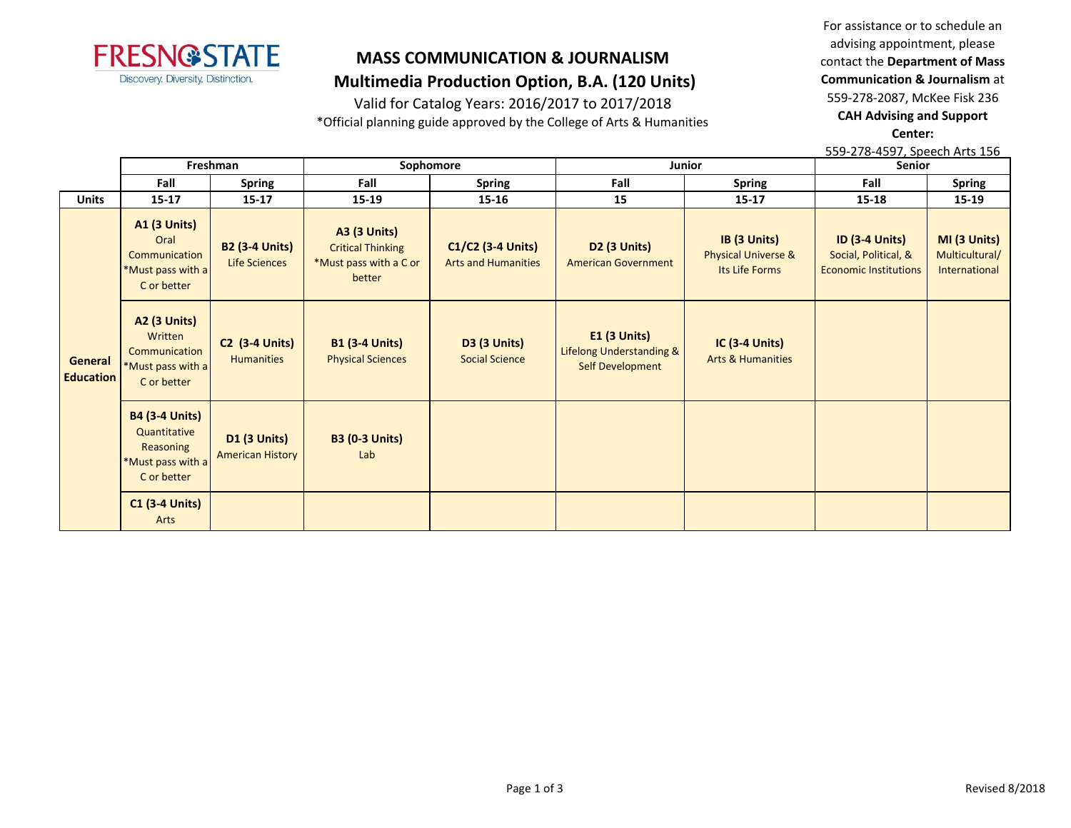

# Valid for Catalog Years: 2016/2017 to 2017/2018

\*Official planning guide approved by the College of Arts & Humanities

For assistance or to schedule an advising appointment, please contact the **Department of Mass Communication & Journalism** at 559-278-2087, McKee Fisk 236 **CAH Advising and Support Center:** 

559-278-4597, Speech Arts 156

|                             | Freshman                                                                               |                                                | Sophomore                                                                           |                                                 |                                                                            | Junior                                                           | <b>Senior</b>                                                                 |                                                 |
|-----------------------------|----------------------------------------------------------------------------------------|------------------------------------------------|-------------------------------------------------------------------------------------|-------------------------------------------------|----------------------------------------------------------------------------|------------------------------------------------------------------|-------------------------------------------------------------------------------|-------------------------------------------------|
|                             | Fall                                                                                   | <b>Spring</b>                                  | Fall                                                                                | <b>Spring</b>                                   | Fall                                                                       | <b>Spring</b>                                                    | Fall                                                                          | <b>Spring</b>                                   |
| <b>Units</b>                | $15 - 17$                                                                              | $15 - 17$                                      | $15 - 19$                                                                           | 15-16                                           | 15                                                                         | $15 - 17$                                                        | $15 - 18$                                                                     | 15-19                                           |
|                             | <b>A1 (3 Units)</b><br>Oral<br>Communication<br>*Must pass with a<br>C or better       | <b>B2 (3-4 Units)</b><br>Life Sciences         | <b>A3 (3 Units)</b><br><b>Critical Thinking</b><br>*Must pass with a C or<br>better | C1/C2 (3-4 Units)<br><b>Arts and Humanities</b> | D2 (3 Units)<br><b>American Government</b>                                 | IB (3 Units)<br><b>Physical Universe &amp;</b><br>Its Life Forms | <b>ID (3-4 Units)</b><br>Social, Political, &<br><b>Economic Institutions</b> | MI (3 Units)<br>Multicultural/<br>International |
| General<br><b>Education</b> | <b>A2 (3 Units)</b><br>Written<br>Communication<br>*Must pass with a<br>C or better    | <b>C2 (3-4 Units)</b><br><b>Humanities</b>     | <b>B1 (3-4 Units)</b><br><b>Physical Sciences</b>                                   | <b>D3 (3 Units)</b><br><b>Social Science</b>    | <b>E1 (3 Units)</b><br>Lifelong Understanding &<br><b>Self Development</b> | <b>IC (3-4 Units)</b><br><b>Arts &amp; Humanities</b>            |                                                                               |                                                 |
|                             | <b>B4 (3-4 Units)</b><br>Quantitative<br>Reasoning<br>*Must pass with a<br>C or better | <b>D1 (3 Units)</b><br><b>American History</b> | <b>B3 (0-3 Units)</b><br>Lab                                                        |                                                 |                                                                            |                                                                  |                                                                               |                                                 |
|                             | <b>C1 (3-4 Units)</b><br>Arts                                                          |                                                |                                                                                     |                                                 |                                                                            |                                                                  |                                                                               |                                                 |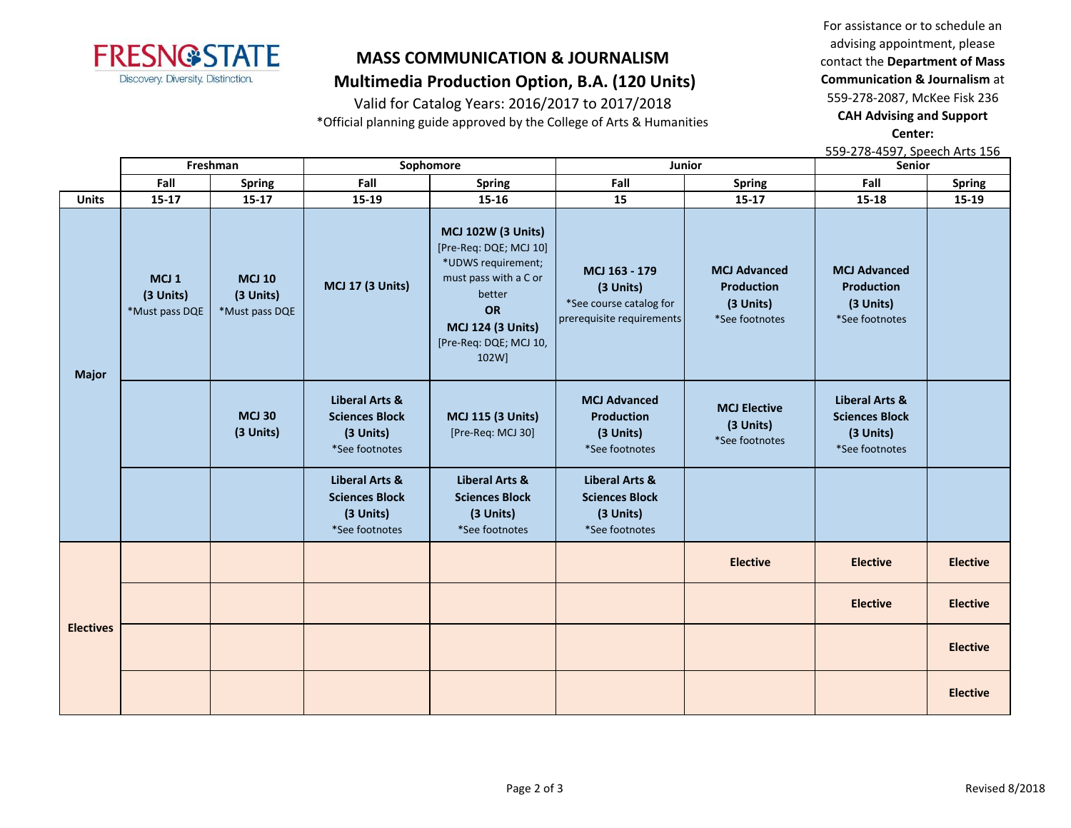

Valid for Catalog Years: 2016/2017 to 2017/2018

\*Official planning guide approved by the College of Arts & Humanities

For assistance or to schedule an advising appointment, please contact the **Department of Mass Communication & Journalism** at 559-278-2087, McKee Fisk 236 **CAH Advising and Support Center:** 

559-278-4597, Speech Arts 156

|                  |                                                 | Freshman                                     |                                                                                   | Sophomore                                                                                                                                                                                |                                                                                    | Senior<br>Junior                                                        |                                                                                   |                 |
|------------------|-------------------------------------------------|----------------------------------------------|-----------------------------------------------------------------------------------|------------------------------------------------------------------------------------------------------------------------------------------------------------------------------------------|------------------------------------------------------------------------------------|-------------------------------------------------------------------------|-----------------------------------------------------------------------------------|-----------------|
|                  | Fall                                            | <b>Spring</b>                                | Fall                                                                              | <b>Spring</b>                                                                                                                                                                            | Fall                                                                               | Spring                                                                  | Fall                                                                              | <b>Spring</b>   |
| <b>Units</b>     | 15-17                                           | $15 - 17$                                    | 15-19                                                                             | 15-16                                                                                                                                                                                    | 15                                                                                 | $15 - 17$                                                               | $15 - 18$                                                                         | 15-19           |
| <b>Major</b>     | MCJ <sub>1</sub><br>(3 Units)<br>*Must pass DQE | <b>MCJ 10</b><br>(3 Units)<br>*Must pass DQE | <b>MCJ 17 (3 Units)</b>                                                           | <b>MCJ 102W (3 Units)</b><br>[Pre-Req: DQE; MCJ 10]<br>*UDWS requirement;<br>must pass with a C or<br>better<br><b>OR</b><br><b>MCJ 124 (3 Units)</b><br>[Pre-Req: DQE; MCJ 10,<br>102W] | MCJ 163 - 179<br>(3 Units)<br>*See course catalog for<br>prerequisite requirements | <b>MCJ Advanced</b><br><b>Production</b><br>(3 Units)<br>*See footnotes | <b>MCJ Advanced</b><br><b>Production</b><br>(3 Units)<br>*See footnotes           |                 |
|                  |                                                 | <b>MCJ 30</b><br>(3 Units)                   | <b>Liberal Arts &amp;</b><br><b>Sciences Block</b><br>(3 Units)<br>*See footnotes | <b>MCJ 115 (3 Units)</b><br>[Pre-Req: MCJ 30]                                                                                                                                            | <b>MCJ Advanced</b><br><b>Production</b><br>(3 Units)<br>*See footnotes            | <b>MCJ Elective</b><br>(3 Units)<br>*See footnotes                      | <b>Liberal Arts &amp;</b><br><b>Sciences Block</b><br>(3 Units)<br>*See footnotes |                 |
|                  |                                                 |                                              | <b>Liberal Arts &amp;</b><br><b>Sciences Block</b><br>(3 Units)<br>*See footnotes | <b>Liberal Arts &amp;</b><br><b>Sciences Block</b><br>(3 Units)<br>*See footnotes                                                                                                        | <b>Liberal Arts &amp;</b><br><b>Sciences Block</b><br>(3 Units)<br>*See footnotes  |                                                                         |                                                                                   |                 |
|                  |                                                 |                                              |                                                                                   |                                                                                                                                                                                          |                                                                                    | <b>Elective</b>                                                         | <b>Elective</b>                                                                   | <b>Elective</b> |
|                  |                                                 |                                              |                                                                                   |                                                                                                                                                                                          |                                                                                    |                                                                         | <b>Elective</b>                                                                   | <b>Elective</b> |
| <b>Electives</b> |                                                 |                                              |                                                                                   |                                                                                                                                                                                          |                                                                                    |                                                                         |                                                                                   | <b>Elective</b> |
|                  |                                                 |                                              |                                                                                   |                                                                                                                                                                                          |                                                                                    |                                                                         |                                                                                   | <b>Elective</b> |